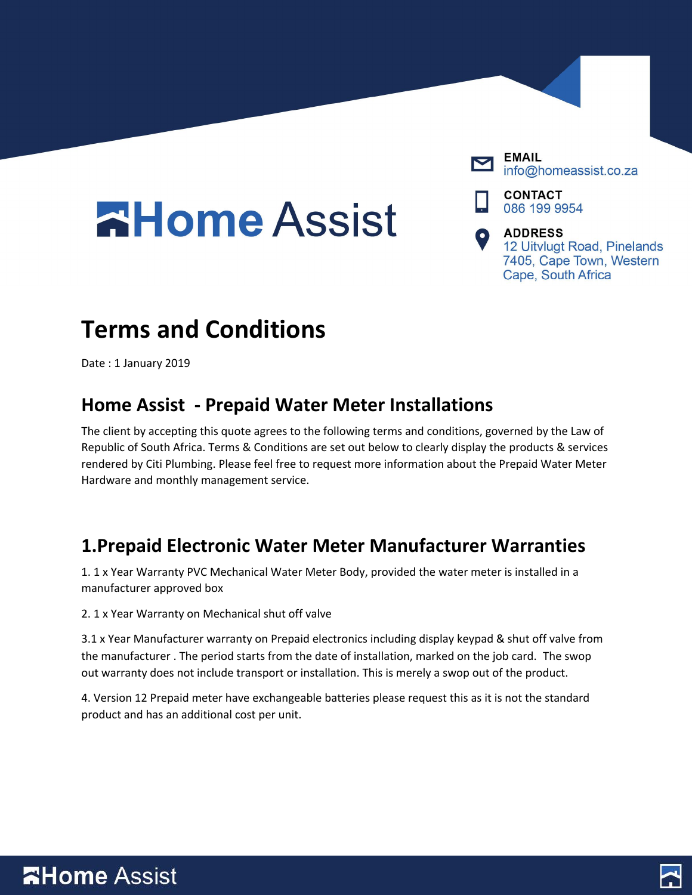## **AHome Assist**



**EMAIL** info@homeassist.co.za

**CONTACT** 086 199 9954

**ADDRESS** 12 Uitvlugt Road, Pinelands 7405, Cape Town, Western Cape, South Africa

## **Terms and Conditions**

Date : 1 January 2019

#### **Home Assist - Prepaid Water Meter Installations**

The client by accepting this quote agrees to the following terms and conditions, governed by the Law of Republic of South Africa. Terms & Conditions are set out below to clearly display the products & services rendered by Citi Plumbing. Please feel free to request more information about the Prepaid Water Meter Hardware and monthly management service.

#### **1.Prepaid Electronic Water Meter Manufacturer Warranties**

1. 1 x Year Warranty PVC Mechanical Water Meter Body, provided the water meter is installed in a manufacturer approved box

2. 1 x Year Warranty on Mechanical shut off valve

3.1 x Year Manufacturer warranty on Prepaid electronics including display keypad & shut off valve from the manufacturer . The period starts from the date of installation, marked on the job card. The swop out warranty does not include transport or installation. This is merely a swop out of the product.

4. Version 12 Prepaid meter have exchangeable batteries please request this as it is not the standard product and has an additional cost per unit.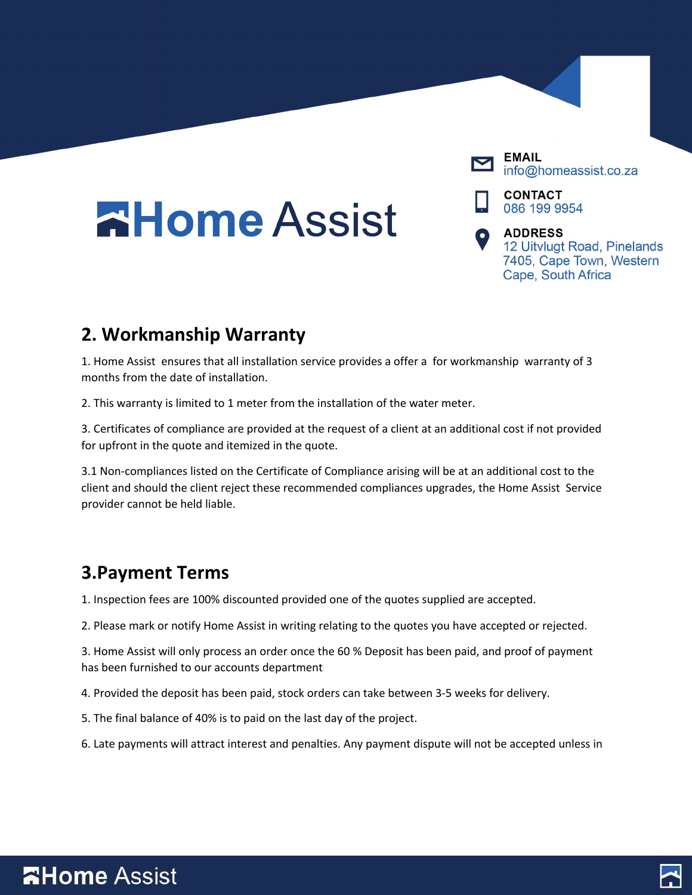# **AHome Assist**



info@homeassist.co.za

**CONTACT** 086 199 9954

**ADDRESS** 12 Uitvlugt Road, Pinelands 7405, Cape Town, Western Cape, South Africa

### **2. Workmanship Warranty**

1. Home Assist ensures that all installation service provides a offer a for workmanship warranty of 3 months from the date of installation.

2. This warranty is limited to 1 meter from the installation of the water meter.

3. Certificates of compliance are provided at the request of a client at an additional cost if not provided for upfront in the quote and itemized in the quote.

3.1 Non-compliances listed on the Certificate of Compliance arising will be at an additional cost to the client and should the client reject these recommended compliances upgrades, the Home Assist Service provider cannot be held liable.

#### **3.Payment Terms**

1. Inspection fees are 100% discounted provided one of the quotes supplied are accepted.

2. Please mark or notify Home Assist in writing relating to the quotes you have accepted or rejected.

3. Home Assist will only process an order once the 60 % Deposit has been paid, and proof of payment has been furnished to our accounts department

4. Provided the deposit has been paid, stock orders can take between 3-5 weeks for delivery.

5. The final balance of 40% is to paid on the last day of the project.

6. Late payments will attract interest and penalties. Any payment dispute will not be accepted unless in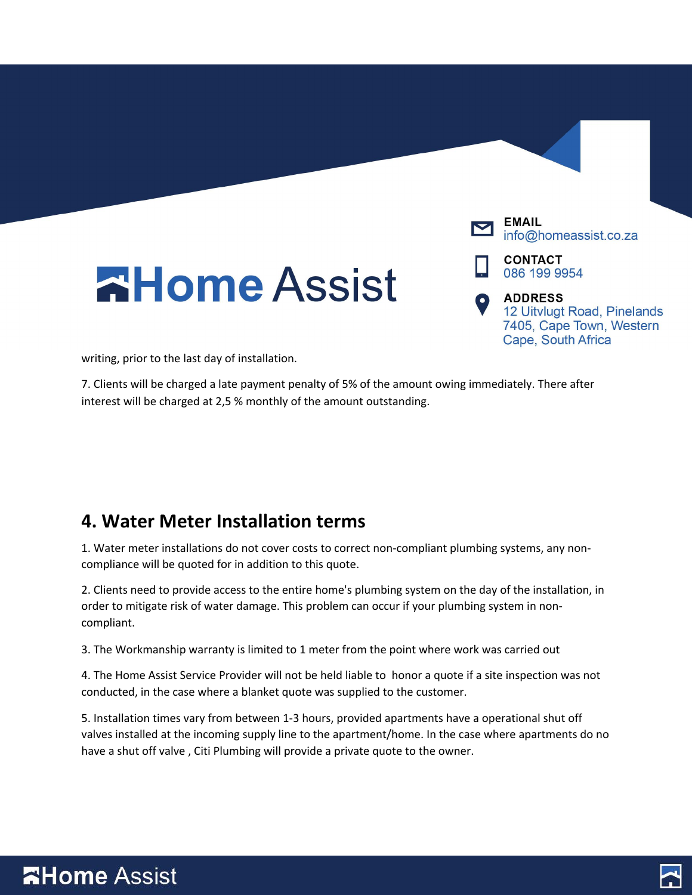

7. Clients will be charged a late payment penalty of 5% of the amount owing immediately. There after interest will be charged at 2,5 % monthly of the amount outstanding.

#### **4. Water Meter Installation terms**

1. Water meter installations do not cover costs to correct non-compliant plumbing systems, any noncompliance will be quoted for in addition to this quote.

2. Clients need to provide access to the entire home's plumbing system on the day of the installation, in order to mitigate risk of water damage. This problem can occur if your plumbing system in noncompliant.

3. The Workmanship warranty is limited to 1 meter from the point where work was carried out

4. The Home Assist Service Provider will not be held liable to honor a quote if a site inspection was not conducted, in the case where a blanket quote was supplied to the customer.

5. Installation times vary from between 1-3 hours, provided apartments have a operational shut off valves installed at the incoming supply line to the apartment/home. In the case where apartments do no have a shut off valve , Citi Plumbing will provide a private quote to the owner.

### **AHome Assist**